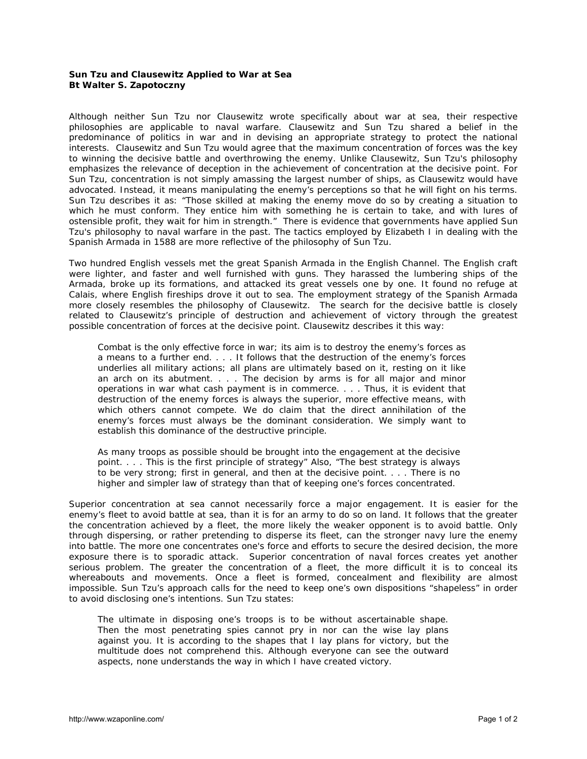## **Sun Tzu and Clausewitz Applied to War at Sea Bt Walter S. Zapotoczny**

Although neither Sun Tzu nor Clausewitz wrote specifically about war at sea, their respective philosophies are applicable to naval warfare. Clausewitz and Sun Tzu shared a belief in the predominance of politics in war and in devising an appropriate strategy to protect the national interests. Clausewitz and Sun Tzu would agree that the maximum concentration of forces was the key to winning the decisive battle and overthrowing the enemy. Unlike Clausewitz, Sun Tzu's philosophy emphasizes the relevance of deception in the achievement of concentration at the decisive point. For Sun Tzu, concentration is not simply amassing the largest number of ships, as Clausewitz would have advocated. Instead, it means manipulating the enemy's perceptions so that he will fight on his terms. Sun Tzu describes it as: "Those skilled at making the enemy move do so by creating a situation to which he must conform. They entice him with something he is certain to take, and with lures of ostensible profit, they wait for him in strength." There is evidence that governments have applied Sun Tzu's philosophy to naval warfare in the past. The tactics employed by Elizabeth I in dealing with the Spanish Armada in 1588 are more reflective of the philosophy of Sun Tzu.

Two hundred English vessels met the great Spanish Armada in the English Channel. The English craft were lighter, and faster and well furnished with guns. They harassed the lumbering ships of the Armada, broke up its formations, and attacked its great vessels one by one. It found no refuge at Calais, where English fireships drove it out to sea. The employment strategy of the Spanish Armada more closely resembles the philosophy of Clausewitz. The search for the decisive battle is closely related to Clausewitz's principle of destruction and achievement of victory through the greatest possible concentration of forces at the decisive point. Clausewitz describes it this way:

Combat is the only effective force in war; its aim is to destroy the enemy's forces as a means to a further end. . . . It follows that the destruction of the enemy's forces underlies all military actions; all plans are ultimately based on it, resting on it like an arch on its abutment. . . . The decision by arms is for all major and minor operations in war what cash payment is in commerce. . . . Thus, it is evident that destruction of the enemy forces is always the superior, more effective means, with which others cannot compete. We do claim that the direct annihilation of the enemy's forces must always be the dominant consideration. We simply want to establish this dominance of the destructive principle.

As many troops as possible should be brought into the engagement at the decisive point. . . . This is the first principle of strategy" Also, "The best strategy is always *to be very strong*; first in general, and then at the decisive point. . . . There is no higher and simpler law of strategy than that of keeping one's forces concentrated.

Superior concentration at sea cannot necessarily force a major engagement. It is easier for the enemy's fleet to avoid battle at sea, than it is for an army to do so on land. It follows that the greater the concentration achieved by a fleet, the more likely the weaker opponent is to avoid battle. Only through dispersing, or rather pretending to disperse its fleet, can the stronger navy lure the enemy into battle. The more one concentrates one's force and efforts to secure the desired decision, the more exposure there is to sporadic attack. Superior concentration of naval forces creates yet another serious problem. The greater the concentration of a fleet, the more difficult it is to conceal its whereabouts and movements. Once a fleet is formed, concealment and flexibility are almost impossible. Sun Tzu's approach calls for the need to keep one's own dispositions "shapeless" in order to avoid disclosing one's intentions. Sun Tzu states:

The ultimate in disposing one's troops is to be without ascertainable shape. Then the most penetrating spies cannot pry in nor can the wise lay plans against you. It is according to the shapes that I lay plans for victory, but the multitude does not comprehend this. Although everyone can see the outward aspects, none understands the way in which I have created victory.